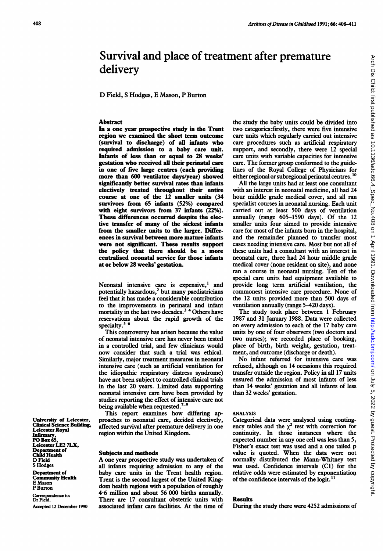# Survival and place of treatment after premature delivery

D Field, <sup>S</sup> Hodges, E Mason, P Burton

#### **Abstract**

In a one year prospective study in the Trent region we examined the short term outcome (survival to discharge) of all infants who required admission to a baby care unit. Infants of less than or equal to 28 weeks' gestation who received all their perinatal care in one of five large centres (each providing more than 600 ventilator days/year) showed significantly better survival rates than infants electively treated throughout their entire course at one of the 12 smaller units (34 survivors from 65 infants (52%) compared with eight survivors from 37 infants (22%). These differences occurred despite the elective transfer of many of the sickest infants from the smaller units to the larger. Differences in survival between more mature infants were not significant. These results support the policy that there should be a more centralised neonatal service for those infants at or below 28 weeks' gestation.

Neonatal intensive care is expensive,<sup>1</sup> and potentially hazardous, $<sup>2</sup>$  but many paediatricians</sup> feel that it has made a considerable contribution to the improvements in perinatal and infant mortality in the last two decades.<sup>3</sup> <sup>4</sup> Others have reservations about the rapid growth of the specialty.<sup>5</sup> <sup>6</sup>

This controversy has arisen because the value of neonatal intensive care has never been tested in a controlled trial, and few clinicians would now consider that such a trial was ethical. Similarly, major treatment measures in neonatal intensive care (such as artificial ventilation for the idiopathic respiratory distress syndrome) have not been subject to controlled clinical trials in the last 20 years. Limited data supporting neonatal intensive care have been provided by studies reporting the effect of intensive care not being available when requested. $7-9$ 

This report examines how differing approaches to neonatal care, decided electively, affected survival after premature delivery in one region within the United Kingdom.

#### Subjects and methods

A one year prospective study was undertaken of all infants requiring admission to any of the baby care units in the Trent health region. Trent is the second largest of the United Kingdom health regions with a population of roughly 4-6 million and about 56 000 births annually. There are 17 consultant obstetric units with associated infant care facilities. At the time of the study the baby units could be divided into two categories:firstly, there were five intensive care units which regularly carried out intensive care procedures such as artificial respiratory support, and secondly, there were 12 special care units with variable capacities for intensive care. The former group conformed to the guidelines of the Royal College of Physicians for either regional or subregional perinatal centres.<sup>10</sup>

All the large units had at least one consultant with an interest in neonatal medicine, all had 24 hour middle grade medical cover, and all ran specialist courses in neonatal nursing. Each unit carried out at least 500 days of ventilation annually (range 605-1590 days). Of the 12 smaller units four aimed to provide intensive care for most of the infants born in the hospital, and the remainder planned to transfer most cases needing intensive care. Most but not all of these units had a consultant with an interest in neonatal care, three had 24 hour middle grade medical cover (none resident on site), and none ran a course in neonatal nursing. Ten of the special care units had equipment available to provide long term artificial ventilation, the commonest intensive care procedure. None of the 12 units provided more than 500 days of ventilation annually (range 5-420 days).

The study took place between <sup>1</sup> February 1987 and 31 January 1988. Data were collected on every admission to each of the 17 baby care units by one of four observers (two doctors and two nurses); we recorded place of booking, place of birth, birth weight, gestation, treatment, and outcome (discharge or death).

No infant referred for intensive care was refused, although on 14 occasions this required transfer outside the region. Policy in all 17 units ensured the admission of most infants of less than 34 weeks' gestation and all infants of less than 32 weeks' gestation.

#### ANALYSIS

Categorical data were analysed using contingency tables and the  $\chi^2$  test with correction for continuity. In those instances where the expected number in any one cell was less than 5, Fisher's exact test was used and a one tailed p value is quoted. When the data were not normally distributed the Mann-Whitney test was used. Confidence intervals (CI) for the relative odds were estimated by exponentiation of the confidence intervals of the logit. $<sup>11</sup>$ </sup>

## **Results**

During the study there were 4252 admissions of

University of Leicester, Clinical Science Building, Leicester Royal Infirmary,<br>PO Box 65, Leicester LE2 7LX, Department of Child Health D Field S Hodges Department of

Community Health E Mason P Burton

Correspondence to: Dr Field. Accepted 12 December 1990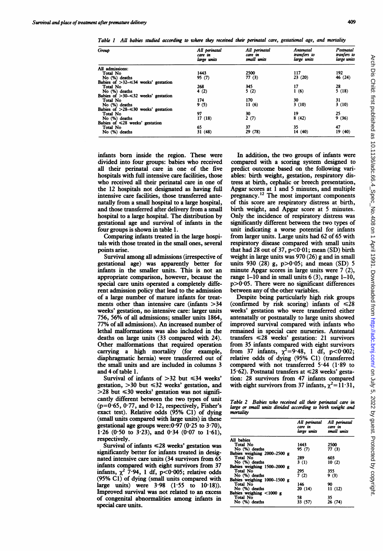Table <sup>I</sup> AU babies studied according to where they received their perinatal care, gestational age, and mortality

| Group                                      | All perinatal<br>care in<br>large units | All perinatal<br>care in<br>small units | Antenatal<br>transfers to<br>large units | Postnatal<br>tranfers to<br>large units |
|--------------------------------------------|-----------------------------------------|-----------------------------------------|------------------------------------------|-----------------------------------------|
| All admissions:                            |                                         |                                         |                                          |                                         |
| Total No                                   | 1443                                    | 2500                                    | 117                                      | 192                                     |
| No (%) deaths                              | 95(7)                                   | 77(3)                                   | 23(20)                                   | 46 (24)                                 |
| Babies of $>32=34$ weeks' gestation        |                                         |                                         |                                          |                                         |
| Total No                                   | 268                                     | 345                                     | 17                                       | 28                                      |
| No (%) deaths                              | 4(2)                                    | 5(2)                                    | 1(6)                                     | 5(18)                                   |
| Babies of $>30$ $\leq 32$ weeks' gestation |                                         |                                         |                                          |                                         |
| Total No                                   | 174                                     | 170                                     | 30                                       | 31                                      |
| No (%) deaths                              | 9(5)                                    | 11(6)                                   | 3(10)                                    | 3(10)                                   |
| Babies of $>28$ $\leq$ 30 weeks' gestation |                                         |                                         |                                          |                                         |
| Total No                                   | 97                                      | 30                                      | 19                                       | 25                                      |
| No (%) deaths                              | 17(18)                                  | 2(7)                                    | 8(42)                                    | 9(36)                                   |
| Babies of $\leq 28$ weeks' gestation       |                                         |                                         |                                          |                                         |
| Total No                                   | 65                                      | 37                                      | 35                                       | 47                                      |
| No (%) deaths                              | 31(48)                                  | 29 (78)                                 | 14 (40)                                  | 19(40)                                  |

infants born inside the region. These were divided into four groups: babies who received all their perinatal care in one of the five hospitals with full intensive care facilities, those who received all their perinatal care in one of the 12 hospitals not designated as having full intensive care facilities, those transferred antenatally from a small hospital to a large hospital, and those transferred after delivery from a small hospital to a large hospital. The distribution by gestational age and survival of infants in the four groups is shown in table 1.

Comparing infants treated in the large hospitals with those treated in the small ones, several points arise.

Survival among all admissions (irrespective of gestational age) was apparently better for infants in the smaller units. This is not an appropriate comparison, however, because the special care units operated a completely different admission policy that lead to the admission of <sup>a</sup> large number of mature infants for treatments other than intensive care (infants  $>34$ weeks' gestation, no intensive care: larger units 756, 56% of all admissions; smaller units 1864, 77% of all admissions). An increased number of lethal malformations was also included in the deaths on large units (33 compared with 24). Other malformations that required operation carrying a high mortality (for example, diaphragmatic hernia) were transferred out of the small units and are included in columns 3 and 4 of table 1.

Survival of infants of  $>32$  but  $\leq 34$  weeks' gestation,  $>30$  but  $\leq 32$  weeks' gestation, and  $>$ 28 but  $\leq$ 30 weeks' gestation was not significantly different between the two types of unit  $(p=0.65, 0.77,$  and  $0.12$ , respectively, Fisher's exact test). Relative odds (95% C1) of dying (small units compared with large units) in these gestational age groups were: $0.97$   $(0.25$  to  $3.70)$ , 1.26 (0.50 to  $3.23$ ), and 0.34 (0.07 to 1.61), respectively.

Survival of infants  $\leq$ 28 weeks' gestation was significantly better for infants treated in designated intensive care units (34 survivors from 65 infants compared with eight survivors from 37 infants,  $\chi^2$  7.94, 1 df, p<0.005; relative odds (95% Cl) of dying (small units compared with large units) were 3-98 (1-55 to 10-18)). Improved survival was not related to an excess of congenital abnormalities among infants in special care units.

In addition, the two groups of infants were compared with a scoring system designed to predict outcome based on the following variables: birth weight, gestation, respiratory distress at birth, cephalic or breech presentation, Apgar scores at <sup>1</sup> and 5 minutes, and multiple pregnancy.<sup>12</sup> The most important components of this score are respiratory distress at birth, birth weight, and Apgar score at 5 minutes. Only the incidence of respiratory distress was significantly different between the two types of unit indicating a worse potential for infants from larger units. Large units had 62 of 65 with respiratory disease compared with small units that had 28 out of 37,  $p < 0.01$ ; mean (SD) birth weight in large units was 970 (26) g and in small units 930 (28) g,  $p > 0.05$ ; and mean (SD) 5 minute Apgar scores in large units were 7 (2), range  $1-10$  and in small units  $6(3)$ , range  $1-10$ ,  $p>0.05$ . There were no significant differences between any of the other variables.

Despite being particularly high risk groups (confirmed by risk scoring) infants of  $\leq 28$ weeks' gestation who were transferred either antenatally or postnatally to large units showed improved survival compared with infants who remained in special care nurseries. Antenatal transfers  $\leq 28$  weeks' gestation: 21 survivors from 35 infants compared with eight survivors from 37 infants,  $\chi^2 = 9.48$ , 1 df, p<0.002; relative odds of dying (95% Cl) (transferred compared with not transferred 5-44 (1-89 to 15.62). Postnatal transfers at  $\leq$ 28 weeks' gestation: 28 survivors from 47 infants compared with eight survivors from 37 infants,  $\chi^2 = 11.31$ ,

Table 2 Babies who received all their perinatal care in large or small units divided according to birth weight and mortality

|                             | All perinatal<br>care in<br>large units | All perinatal<br>care in<br>small units |
|-----------------------------|-----------------------------------------|-----------------------------------------|
| All babies                  |                                         |                                         |
| Total No                    | 1443                                    | 2500                                    |
| No (%) deaths               | 95 (7)                                  | 77 (3)                                  |
| Babies weighing 2000–2500 g |                                         |                                         |
| Total No                    | 289                                     | 603                                     |
| No (%) deaths               | 3(1)                                    | 10(2)                                   |
| Babies weighing 1500–2000 g |                                         |                                         |
| Total No                    | 295                                     | 355                                     |
| No (%) deaths               | 7(2)                                    | 9(3)                                    |
| Babies weighing 1000-1500 g |                                         |                                         |
| Total No                    | 146                                     | 90                                      |
| No (%) deaths               | 20(14)                                  | 11(12)                                  |
| Babies weighing <1000 g     |                                         |                                         |
| Total No                    | 58                                      | 35                                      |
| No (%) deaths               | 33 (57)                                 | 26 (74)                                 |
|                             |                                         |                                         |